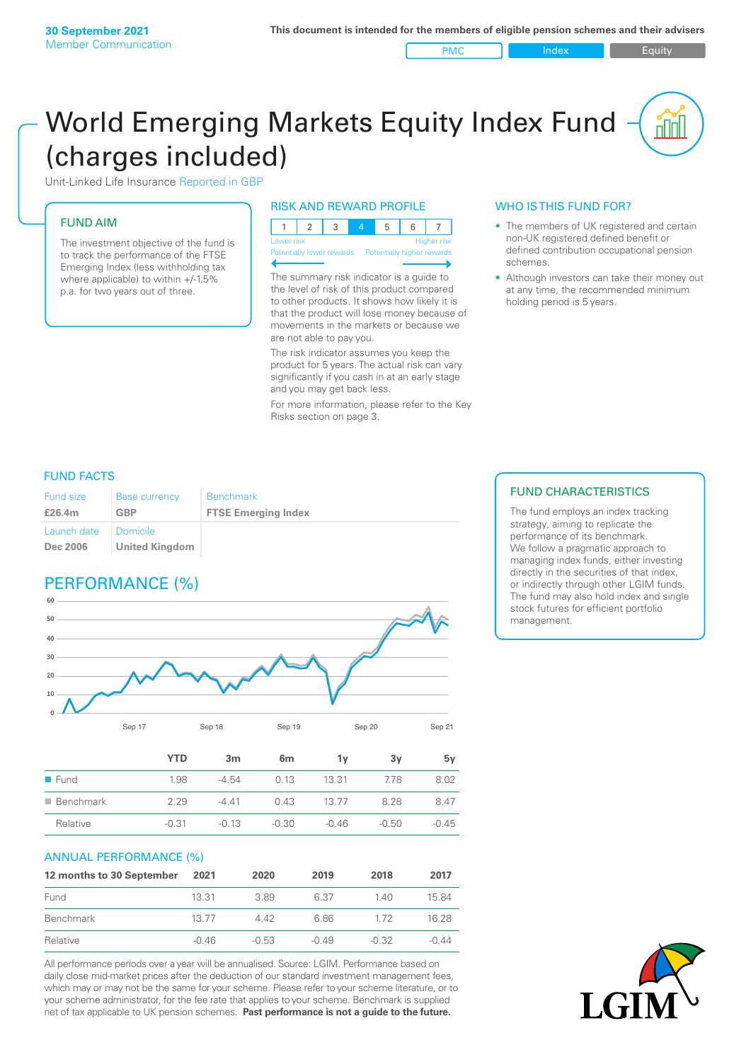PMC Index Index Equity

# World Emerging Markets Equity Index Fund (charges included)

Unit-Linked Life Insurance Reported in GBP

## FUND AIM

The investment objective of the fund is to track the performance of the FTSE Emerging Index (less withholding tax where applicable) to within +/-1.5% p.a. for two years out of three.

## RISK AND REWARD PROFILE

| Lower risk |  |  |  | <b>Higher risk</b> |
|------------|--|--|--|--------------------|

ntially lower rewards Potentially high

The summary risk indicator is a guide to the level of risk of this product compared to other products. It shows how likely it is that the product will lose money because of movements in the markets or because we are not able to pay you.

The risk indicator assumes you keep the product for 5 years. The actual risk can vary significantly if you cash in at an early stage and you may get back less.

For more information, please refer to the Key Risks section on page 3.

## WHO IS THIS FUND FOR?

- The members of UK registered and certain non-UK registered defined benefit or defined contribution occupational pension schemes.
- Although investors can take their money out at any time, the recommended minimum holding period is 5 years.

## FUND FACTS

| <b>Fund size</b>               | <b>Base currency</b>                     | <b>Benchmark</b>           |
|--------------------------------|------------------------------------------|----------------------------|
| £26.4m                         | <b>GBP</b>                               | <b>FTSE Emerging Index</b> |
| Launch date<br><b>Dec 2006</b> | <b>Domicile</b><br><b>United Kingdom</b> |                            |

## PERFORMANCE (%)



|                          | <b>YTD</b> | 3m      | 6m      | 1v      | 3v      | 5v      |
|--------------------------|------------|---------|---------|---------|---------|---------|
| $\blacksquare$ Fund      | 1.98       | $-4.54$ | 0.13    | 13.31   | 7.78    | 8.02    |
| $\blacksquare$ Benchmark | 2.29       | $-441$  | 0.43    | 13 77   | 8.28    | 847     |
| Relative                 | $-0.31$    | $-0.13$ | $-0.30$ | $-0.46$ | $-0.50$ | $-0.45$ |

### ANNUAL PERFORMANCE (%)

| 12 months to 30 September | 2021    | 2020    | 2019    | 2018    | 2017    |
|---------------------------|---------|---------|---------|---------|---------|
| Fund                      | 13.31   | 389     | 6.37    | 140     | 15.84   |
| Benchmark                 | 13 77   | 442     | 6.86    | 172     | 16.28   |
| Relative                  | $-0.46$ | $-0.53$ | $-0.49$ | $-0.32$ | $-0.44$ |

All performance periods over a year will be annualised. Source: LGIM. Performance based on daily close mid-market prices after the deduction of our standard investment management fees, which may or may not be the same for your scheme. Please refer to your scheme literature, or to your scheme administrator, for the fee rate that applies to your scheme. Benchmark is supplied net of tax applicable to UK pension schemes. **Past performance is not a guide to the future.**

## FUND CHARACTERISTICS

The fund employs an index tracking strategy, aiming to replicate the performance of its benchmark. We follow a pragmatic approach to managing index funds, either investing directly in the securities of that index, or indirectly through other LGIM funds. The fund may also hold index and single stock futures for efficient portfolio management.

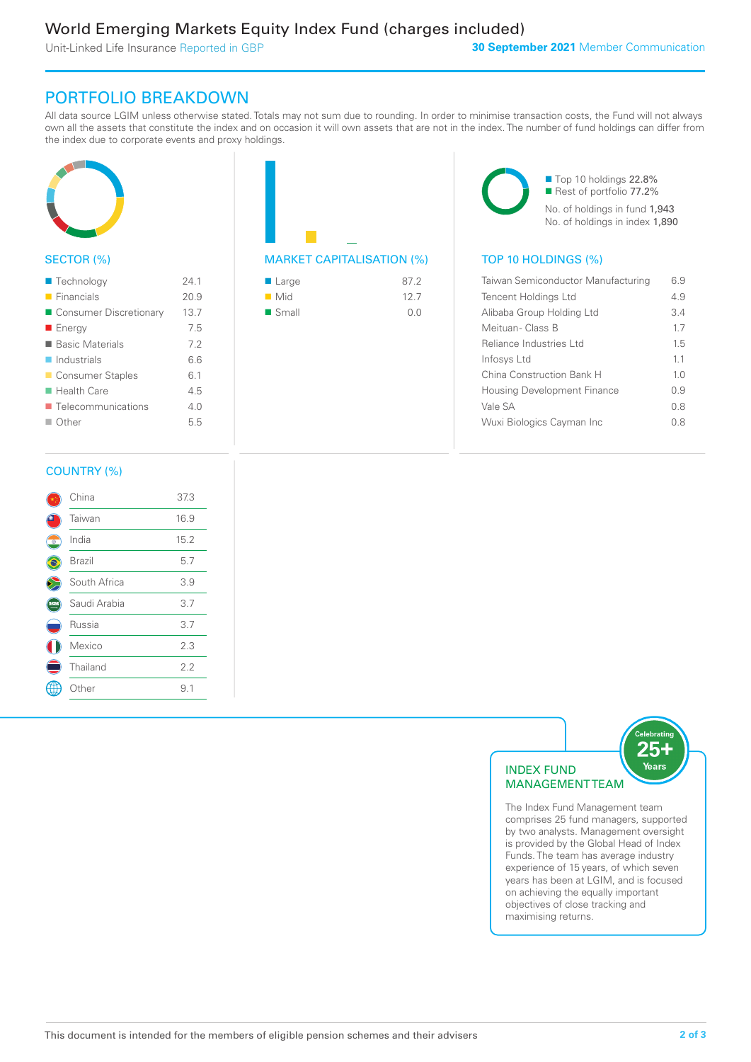Unit-Linked Life Insurance Reported in GBP

## PORTFOLIO BREAKDOWN

All data source LGIM unless otherwise stated. Totals may not sum due to rounding. In order to minimise transaction costs, the Fund will not always own all the assets that constitute the index and on occasion it will own assets that are not in the index. The number of fund holdings can differ from the index due to corporate events and proxy holdings.



## SECTOR (%)

| ■ Technology               | 241  |
|----------------------------|------|
| $\blacksquare$ Financials  | 20.9 |
| ■ Consumer Discretionary   | 13.7 |
| ■ Energy                   | 7.5  |
| ■ Basic Materials          | 7.2  |
| $\blacksquare$ Industrials | 6.6  |
| ■ Consumer Staples         | 6.1  |
| $\blacksquare$ Health Care | 4.5  |
| ■ Telecommunications       | 40   |
| $\Box$ Other               | 5.5  |
|                            |      |

## MARKET CAPITALISATION (%) TOP 10 HOLDINGS (%)

| ■ Large              | 87.2 |
|----------------------|------|
| $\blacksquare$ Mid   | 127  |
| $\blacksquare$ Small | 0.0  |

■ Top 10 holdings 22.8% ■ Rest of portfolio 77.2% No. of holdings in fund 1,943 No. of holdings in index 1,890

| 6.9            |
|----------------|
| 4.9            |
| 3.4            |
| 17             |
| 15             |
| 11             |
| 1 <sub>0</sub> |
| 0.9            |
| 0.8            |
| 0 8            |
|                |

## COUNTRY (%)

|   | China        | 37.3 |  |
|---|--------------|------|--|
|   | Taiwan       | 16.9 |  |
| Ō | India        | 15.2 |  |
|   | Brazil       | 5.7  |  |
|   | South Africa | 3.9  |  |
|   | Saudi Arabia | 3.7  |  |
|   | Russia       | 3.7  |  |
|   | Mexico       | 2.3  |  |
|   | Thailand     | 2.2  |  |
|   | Other        | 9.1  |  |
|   |              |      |  |



The Index Fund Management team comprises 25 fund managers, supported by two analysts. Management oversight is provided by the Global Head of Index Funds. The team has average industry experience of 15 years, of which seven years has been at LGIM, and is focused on achieving the equally important objectives of close tracking and maximising returns.